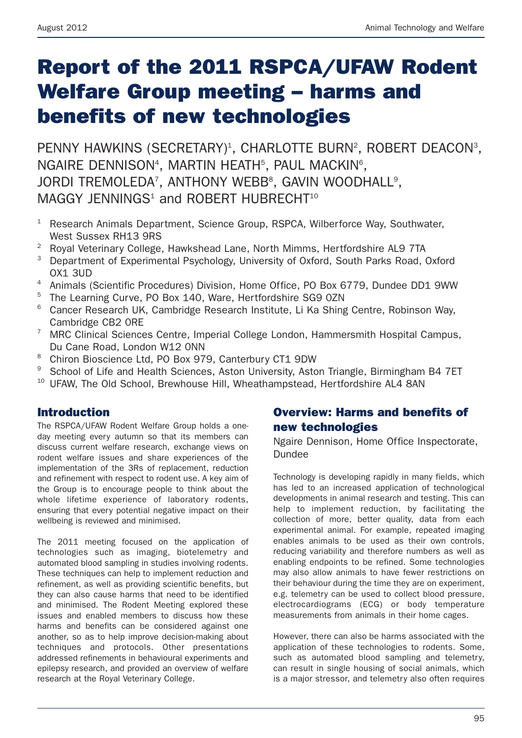# **Report of the 2011 RSPCA/UFAW Rodent Welfare Group meeting – harms and benefits of new technologies**

PENNY HAWKINS (SECRETARY)<sup>1</sup>, CHARLOTTE BURN<sup>2</sup>, ROBERT DEACON<sup>3</sup>, NGAIRE DENNISON<sup>4</sup>, MARTIN HEATH<sup>5</sup>, PAUL MACKIN<sup>6</sup>, JORDI TREMOLEDA<sup>7</sup>, ANTHONY WEBB<sup>8</sup>, GAVIN WOODHALL<sup>9</sup>, MAGGY JENNINGS<sup>1</sup> and ROBERT HUBRECHT<sup>10</sup>

- <sup>1</sup> Research Animals Department, Science Group, RSPCA, Wilberforce Way, Southwater, West Sussex RH13 9RS
- <sup>2</sup> Royal Veterinary College, Hawkshead Lane, North Mimms, Hertfordshire AL9 7TA
- <sup>3</sup> Department of Experimental Psychology, University of Oxford, South Parks Road, Oxford OX1 3UD
- <sup>4</sup> Animals (Scientific Procedures) Division, Home Office, PO Box 6779, Dundee DD1 9WW
- <sup>5</sup> The Learning Curve, PO Box 140, Ware, Hertfordshire SG9 0ZN
- <sup>6</sup> Cancer Research UK, Cambridge Research Institute, Li Ka Shing Centre, Robinson Way, Cambridge CB2 0RE
- <sup>7</sup> MRC Clinical Sciences Centre, Imperial College London, Hammersmith Hospital Campus, Du Cane Road, London W12 0NN
- <sup>8</sup> Chiron Bioscience Ltd, PO Box 979, Canterbury CT1 9DW
- <sup>9</sup> School of Life and Health Sciences, Aston University, Aston Triangle, Birmingham B4 7ET
- <sup>10</sup> UFAW. The Old School, Brewhouse Hill, Wheathampstead, Hertfordshire AL4 8AN

# **Introduction**

The RSPCA/UFAW Rodent Welfare Group holds a oneday meeting every autumn so that its members can discuss current welfare research, exchange views on rodent welfare issues and share experiences of the implementation of the 3Rs of replacement, reduction and refinement with respect to rodent use. A key aim of the Group is to encourage people to think about the whole lifetime experience of laboratory rodents, ensuring that every potential negative impact on their wellbeing is reviewed and minimised.

The 2011 meeting focused on the application of technologies such as imaging, biotelemetry and automated blood sampling in studies involving rodents. These techniques can help to implement reduction and refinement, as well as providing scientific benefits, but they can also cause harms that need to be identified and minimised. The Rodent Meeting explored these issues and enabled members to discuss how these harms and benefits can be considered against one another, so as to help improve decision-making about techniques and protocols. Other presentations addressed refinements in behavioural experiments and epilepsy research, and provided an overview of welfare research at the Royal Veterinary College.

# **Overview: Harms and benefits of new technologies**

Ngaire Dennison, Home Office Inspectorate, Dundee

Technology is developing rapidly in many fields, which has led to an increased application of technological developments in animal research and testing. This can help to implement reduction, by facilitating the collection of more, better quality, data from each experimental animal. For example, repeated imaging enables animals to be used as their own controls, reducing variability and therefore numbers as well as enabling endpoints to be refined. Some technologies may also allow animals to have fewer restrictions on their behaviour during the time they are on experiment, e.g. telemetry can be used to collect blood pressure, electrocardiograms (ECG) or body temperature measurements from animals in their home cages.

However, there can also be harms associated with the application of these technologies to rodents. Some, such as automated blood sampling and telemetry, can result in single housing of social animals, which is a major stressor, and telemetry also often requires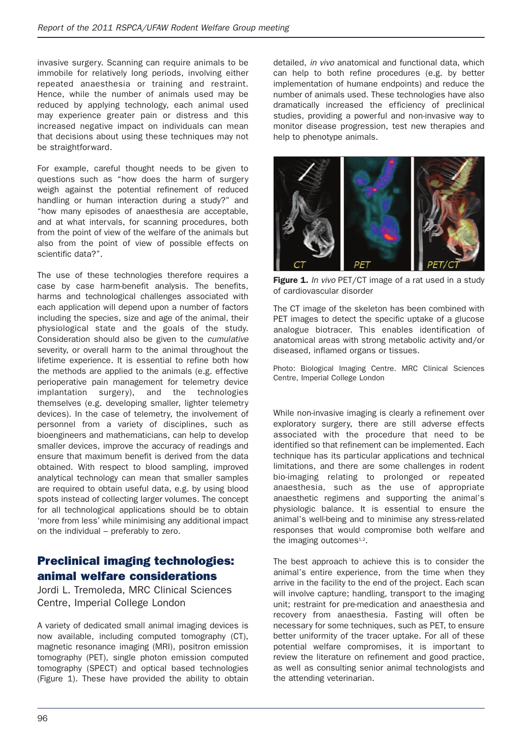invasive surgery. Scanning can require animals to be immobile for relatively long periods, involving either repeated anaesthesia or training and restraint. Hence, while the number of animals used may be reduced by applying technology, each animal used may experience greater pain or distress and this increased negative impact on individuals can mean that decisions about using these techniques may not be straightforward.

For example, careful thought needs to be given to questions such as "how does the harm of surgery weigh against the potential refinement of reduced handling or human interaction during a study?" and "how many episodes of anaesthesia are acceptable, and at what intervals, for scanning procedures, both from the point of view of the welfare of the animals but also from the point of view of possible effects on scientific data?".

The use of these technologies therefore requires a case by case harm-benefit analysis. The benefits, harms and technological challenges associated with each application will depend upon a number of factors including the species, size and age of the animal, their physiological state and the goals of the study. Consideration should also be given to the *cumulative* severity, or overall harm to the animal throughout the lifetime experience. It is essential to refine both how the methods are applied to the animals (e.g. effective perioperative pain management for telemetry device implantation surgery), and the technologies themselves (e.g. developing smaller, lighter telemetry devices). In the case of telemetry, the involvement of personnel from a variety of disciplines, such as bioengineers and mathematicians, can help to develop smaller devices, improve the accuracy of readings and ensure that maximum benefit is derived from the data obtained. With respect to blood sampling, improved analytical technology can mean that smaller samples are required to obtain useful data, e.g. by using blood spots instead of collecting larger volumes. The concept for all technological applications should be to obtain 'more from less' while minimising any additional impact on the individual – preferably to zero.

# **Preclinical imaging technologies: animal welfare considerations**

Jordi L. Tremoleda, MRC Clinical Sciences Centre, Imperial College London

A variety of dedicated small animal imaging devices is now available, including computed tomography (CT), magnetic resonance imaging (MRI), positron emission tomography (PET), single photon emission computed tomography (SPECT) and optical based technologies (Figure 1). These have provided the ability to obtain detailed, *in vivo* anatomical and functional data, which can help to both refine procedures (e.g. by better implementation of humane endpoints) and reduce the number of animals used. These technologies have also dramatically increased the efficiency of preclinical studies, providing a powerful and non-invasive way to monitor disease progression, test new therapies and help to phenotype animals.



**Figure 1.** *In vivo* PET/CT image of a rat used in a study of cardiovascular disorder

The CT image of the skeleton has been combined with PET images to detect the specific uptake of a glucose analogue biotracer. This enables identification of anatomical areas with strong metabolic activity and/or diseased, inflamed organs or tissues.

Photo: Biological Imaging Centre. MRC Clinical Sciences Centre, Imperial College London

While non-invasive imaging is clearly a refinement over exploratory surgery, there are still adverse effects associated with the procedure that need to be identified so that refinement can be implemented. Each technique has its particular applications and technical limitations, and there are some challenges in rodent bio-imaging relating to prolonged or repeated anaesthesia, such as the use of appropriate anaesthetic regimens and supporting the animal's physiologic balance. It is essential to ensure the animal's well-being and to minimise any stress-related responses that would compromise both welfare and the imaging outcomes $1,2$ .

The best approach to achieve this is to consider the animal's entire experience, from the time when they arrive in the facility to the end of the project. Each scan will involve capture; handling, transport to the imaging unit; restraint for pre-medication and anaesthesia and recovery from anaesthesia. Fasting will often be necessary for some techniques, such as PET, to ensure better uniformity of the tracer uptake. For all of these potential welfare compromises, it is important to review the literature on refinement and good practice, as well as consulting senior animal technologists and the attending veterinarian.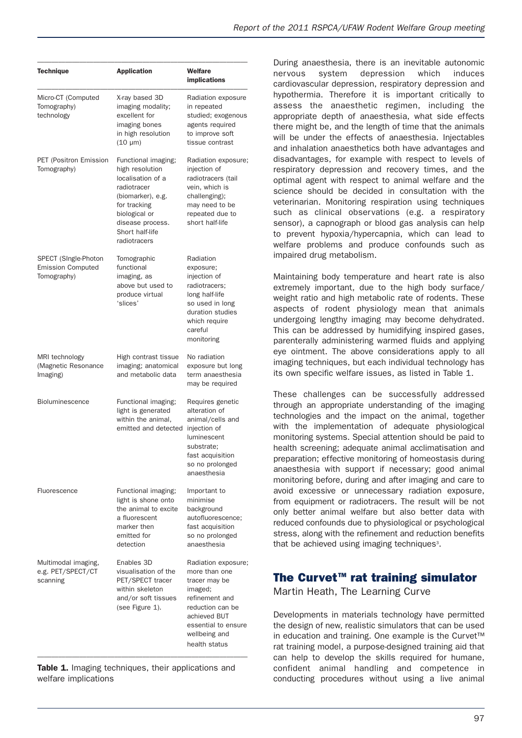| <b>Technique</b>                                                | <b>Application</b>                                                                                                                                                                      | Welfare<br>implications                                                                                                                                                         |
|-----------------------------------------------------------------|-----------------------------------------------------------------------------------------------------------------------------------------------------------------------------------------|---------------------------------------------------------------------------------------------------------------------------------------------------------------------------------|
| Micro-CT (Computed<br>Tomography)<br>technology                 | X-ray based 3D<br>imaging modality;<br>excellent for<br>imaging bones<br>in high resolution<br>$(10 \mu m)$                                                                             | Radiation exposure<br>in repeated<br>studied; exogenous<br>agents required<br>to improve soft<br>tissue contrast                                                                |
| PET (Positron Emission<br>Tomography)                           | Functional imaging;<br>high resolution<br>localisation of a<br>radiotracer<br>(biomarker), e.g.<br>for tracking<br>biological or<br>disease process.<br>Short half-life<br>radiotracers | Radiation exposure;<br>injection of<br>radiotracers (tail<br>vein, which is<br>challenging);<br>may need to be<br>repeated due to<br>short half-life                            |
| SPECT (SIngle-Photon<br><b>Emission Computed</b><br>Tomography) | Tomographic<br>functional<br>imaging, as<br>above but used to<br>produce virtual<br>'slices'                                                                                            | Radiation<br>exposure;<br>injection of<br>radiotracers;<br>long half-life<br>so used in long<br>duration studies<br>which require<br>careful<br>monitoring                      |
| MRI technology<br>(Magnetic Resonance<br>Imaging)               | High contrast tissue<br>imaging; anatomical<br>and metabolic data                                                                                                                       | No radiation<br>exposure but long<br>term anaesthesia<br>may be required                                                                                                        |
| <b>Bioluminescence</b>                                          | Functional imaging;<br>light is generated<br>within the animal,<br>emitted and detected                                                                                                 | Requires genetic<br>alteration of<br>animal/cells and<br>injection of<br>luminescent<br>substrate:<br>fast acquisition<br>so no prolonged<br>anaesthesia                        |
| Fluorescence                                                    | Functional imaging;<br>light is shone onto<br>the animal to excite<br>a fluorescent<br>marker then<br>emitted for<br>detection                                                          | Important to<br>minimise<br>background<br>autofluorescence;<br>fast acquisition<br>so no prolonged<br>anaesthesia                                                               |
| Multimodal imaging,<br>e.g. PET/SPECT/CT<br>scanning            | Enables 3D<br>visualisation of the<br>PET/SPECT tracer<br>within skeleton<br>and/or soft tissues<br>(see Figure 1).                                                                     | Radiation exposure;<br>more than one<br>tracer may be<br>imaged;<br>refinement and<br>reduction can be<br>achieved BUT<br>essential to ensure<br>wellbeing and<br>health status |

**Table 1.** Imaging techniques, their applications and welfare implications

During anaesthesia, there is an inevitable autonomic nervous system depression which induces cardiovascular depression, respiratory depression and hypothermia. Therefore it is important critically to assess the anaesthetic regimen, including the appropriate depth of anaesthesia, what side effects there might be, and the length of time that the animals will be under the effects of anaesthesia. Injectables and inhalation anaesthetics both have advantages and disadvantages, for example with respect to levels of respiratory depression and recovery times, and the optimal agent with respect to animal welfare and the science should be decided in consultation with the veterinarian. Monitoring respiration using techniques such as clinical observations (e.g. a respiratory sensor), a capnograph or blood gas analysis can help to prevent hypoxia/hypercapnia, which can lead to welfare problems and produce confounds such as impaired drug metabolism.

Maintaining body temperature and heart rate is also extremely important, due to the high body surface/ weight ratio and high metabolic rate of rodents. These aspects of rodent physiology mean that animals undergoing lengthy imaging may become dehydrated. This can be addressed by humidifying inspired gases, parenterally administering warmed fluids and applying eye ointment. The above considerations apply to all imaging techniques, but each individual technology has its own specific welfare issues, as listed in Table 1.

These challenges can be successfully addressed through an appropriate understanding of the imaging technologies and the impact on the animal, together with the implementation of adequate physiological monitoring systems. Special attention should be paid to health screening; adequate animal acclimatisation and preparation; effective monitoring of homeostasis during anaesthesia with support if necessary; good animal monitoring before, during and after imaging and care to avoid excessive or unnecessary radiation exposure, from equipment or radiotracers. The result will be not only better animal welfare but also better data with reduced confounds due to physiological or psychological stress, along with the refinement and reduction benefits that be achieved using imaging techniques<sup>3</sup>.

# **The Curvet<sup>™</sup> rat training simulator**

Martin Heath, The Learning Curve

Developments in materials technology have permitted the design of new, realistic simulators that can be used in education and training. One example is the Curvet™ rat training model, a purpose-designed training aid that can help to develop the skills required for humane, confident animal handling and competence in conducting procedures without using a live animal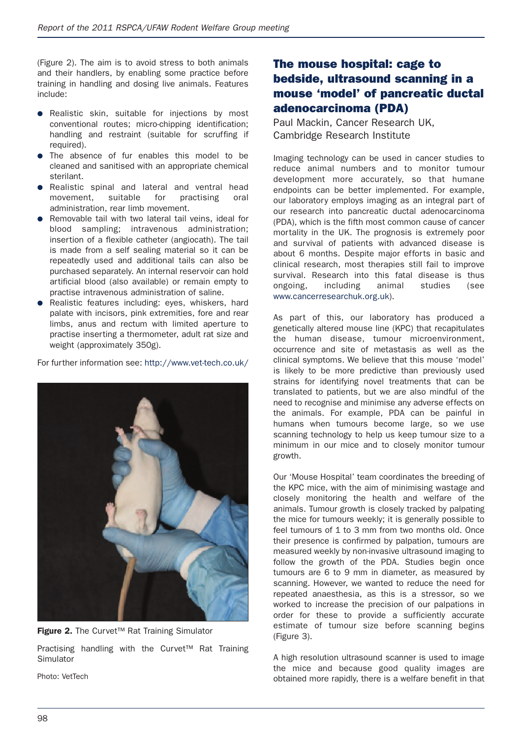(Figure 2). The aim is to avoid stress to both animals and their handlers, by enabling some practice before training in handling and dosing live animals. Features include:

- Realistic skin, suitable for injections by most conventional routes; micro-chipping identification; handling and restraint (suitable for scruffing if required).
- The absence of fur enables this model to be cleaned and sanitised with an appropriate chemical sterilant.
- Realistic spinal and lateral and ventral head movement, suitable for practising oral administration, rear limb movement.
- Removable tail with two lateral tail veins, ideal for blood sampling; intravenous administration; insertion of a flexible catheter (angiocath). The tail is made from a self sealing material so it can be repeatedly used and additional tails can also be purchased separately. An internal reservoir can hold artificial blood (also available) or remain empty to practise intravenous administration of saline.
- Realistic features including: eyes, whiskers, hard palate with incisors, pink extremities, fore and rear limbs, anus and rectum with limited aperture to practise inserting a thermometer, adult rat size and weight (approximately 350g).

For further information see: http://www.vet-tech.co.uk/





Practising handling with the Curvet™ Rat Training Simulator

Photo: VetTech

# **The mouse hospital: cage to bedside, ultrasound scanning in a mouse 'model' of pancreatic ductal adenocarcinoma (PDA)**

Paul Mackin, Cancer Research UK, Cambridge Research Institute

Imaging technology can be used in cancer studies to reduce animal numbers and to monitor tumour development more accurately, so that humane endpoints can be better implemented. For example, our laboratory employs imaging as an integral part of our research into pancreatic ductal adenocarcinoma (PDA), which is the fifth most common cause of cancer mortality in the UK. The prognosis is extremely poor and survival of patients with advanced disease is about 6 months. Despite major efforts in basic and clinical research, most therapies still fail to improve survival. Research into this fatal disease is thus ongoing, including animal studies (see www.cancerresearchuk.org.uk).

As part of this, our laboratory has produced a genetically altered mouse line (KPC) that recapitulates the human disease, tumour microenvironment, occurrence and site of metastasis as well as the clinical symptoms. We believe that this mouse 'model' is likely to be more predictive than previously used strains for identifying novel treatments that can be translated to patients, but we are also mindful of the need to recognise and minimise any adverse effects on the animals. For example, PDA can be painful in humans when tumours become large, so we use scanning technology to help us keep tumour size to a minimum in our mice and to closely monitor tumour growth.

Our 'Mouse Hospital' team coordinates the breeding of the KPC mice, with the aim of minimising wastage and closely monitoring the health and welfare of the animals. Tumour growth is closely tracked by palpating the mice for tumours weekly; it is generally possible to feel tumours of 1 to 3 mm from two months old. Once their presence is confirmed by palpation, tumours are measured weekly by non-invasive ultrasound imaging to follow the growth of the PDA. Studies begin once tumours are 6 to 9 mm in diameter, as measured by scanning. However, we wanted to reduce the need for repeated anaesthesia, as this is a stressor, so we worked to increase the precision of our palpations in order for these to provide a sufficiently accurate estimate of tumour size before scanning begins (Figure 3).

A high resolution ultrasound scanner is used to image the mice and because good quality images are obtained more rapidly, there is a welfare benefit in that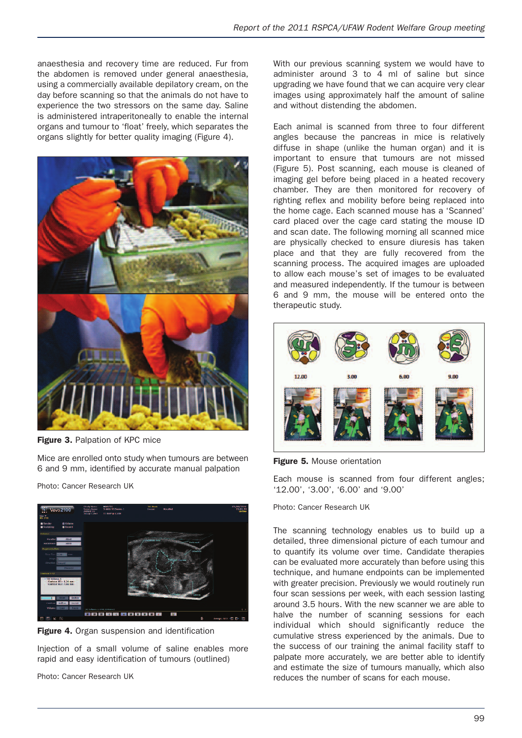anaesthesia and recovery time are reduced. Fur from the abdomen is removed under general anaesthesia, using a commercially available depilatory cream, on the day before scanning so that the animals do not have to experience the two stressors on the same day. Saline is administered intraperitoneally to enable the internal organs and tumour to 'float' freely, which separates the organs slightly for better quality imaging (Figure 4).



**Figure 3.** Palpation of KPC mice

Mice are enrolled onto study when tumours are between 6 and 9 mm, identified by accurate manual palpation

Photo: Cancer Research UK



**Figure 4.** Organ suspension and identification

Injection of a small volume of saline enables more rapid and easy identification of tumours (outlined)

Photo: Cancer Research UK

With our previous scanning system we would have to administer around 3 to 4 ml of saline but since upgrading we have found that we can acquire very clear images using approximately half the amount of saline and without distending the abdomen.

Each animal is scanned from three to four different angles because the pancreas in mice is relatively diffuse in shape (unlike the human organ) and it is important to ensure that tumours are not missed (Figure 5). Post scanning, each mouse is cleaned of imaging gel before being placed in a heated recovery chamber. They are then monitored for recovery of righting reflex and mobility before being replaced into the home cage. Each scanned mouse has a 'Scanned' card placed over the cage card stating the mouse ID and scan date. The following morning all scanned mice are physically checked to ensure diuresis has taken place and that they are fully recovered from the scanning process. The acquired images are uploaded to allow each mouse's set of images to be evaluated and measured independently. If the tumour is between 6 and 9 mm, the mouse will be entered onto the therapeutic study.



**Figure 5.** Mouse orientation

Each mouse is scanned from four different angles; '12.00', '3.00', '6.00' and '9.00'

#### Photo: Cancer Research UK

The scanning technology enables us to build up a detailed, three dimensional picture of each tumour and to quantify its volume over time. Candidate therapies can be evaluated more accurately than before using this technique, and humane endpoints can be implemented with greater precision. Previously we would routinely run four scan sessions per week, with each session lasting around 3.5 hours. With the new scanner we are able to halve the number of scanning sessions for each individual which should significantly reduce the cumulative stress experienced by the animals. Due to the success of our training the animal facility staff to palpate more accurately, we are better able to identify and estimate the size of tumours manually, which also reduces the number of scans for each mouse.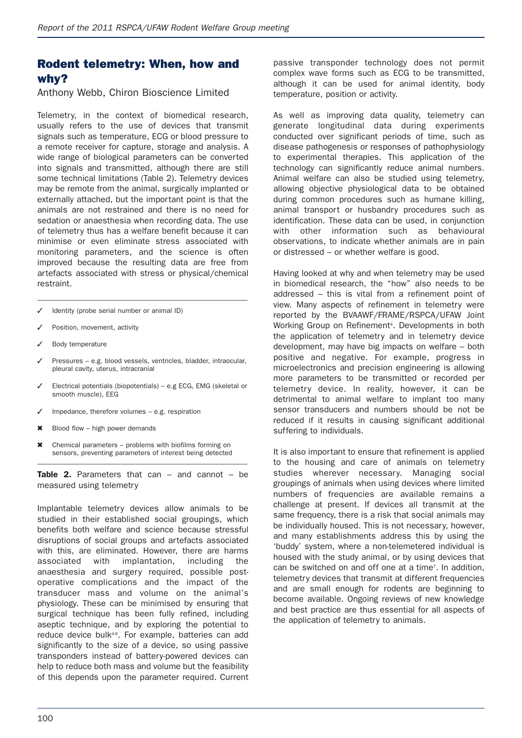# **Rodent telemetry: When, how and why?**

Anthony Webb, Chiron Bioscience Limited

Telemetry, in the context of biomedical research, usually refers to the use of devices that transmit signals such as temperature, ECG or blood pressure to a remote receiver for capture, storage and analysis. A wide range of biological parameters can be converted into signals and transmitted, although there are still some technical limitations (Table 2). Telemetry devices may be remote from the animal, surgically implanted or externally attached, but the important point is that the animals are not restrained and there is no need for sedation or anaesthesia when recording data. The use of telemetry thus has a welfare benefit because it can minimise or even eliminate stress associated with monitoring parameters, and the science is often improved because the resulting data are free from artefacts associated with stress or physical/chemical restraint.

- ✓ Identity (probe serial number or animal ID)
- Position, movement, activity
- Body temperature
- Pressures e.g. blood vessels, ventricles, bladder, intraocular, pleural cavity, uterus, intracranial

––––––––––––––––––––––––––––––––––––––––––––––––––––––––––––

- Electrical potentials (biopotentials) e.g ECG, EMG (skeletal or smooth muscle), EEG
- Impedance, therefore volumes  $-$  e.g. respiration
- ✖ Blood flow high power demands
- ✖ Chemical parameters problems with biofilms forming on sensors, preventing parameters of interest being detected

–––––––––––––––––––––––––––––––––––––––––––––––––––––––––––– **Table 2.** Parameters that can – and cannot – be measured using telemetry

Implantable telemetry devices allow animals to be studied in their established social groupings, which benefits both welfare and science because stressful disruptions of social groups and artefacts associated with this, are eliminated. However, there are harms associated with implantation, including the anaesthesia and surgery required, possible postoperative complications and the impact of the transducer mass and volume on the animal's physiology. These can be minimised by ensuring that surgical technique has been fully refined, including aseptic technique, and by exploring the potential to reduce device bulk<sup>46</sup>. For example, batteries can add significantly to the size of a device, so using passive transponders instead of battery-powered devices can help to reduce both mass and volume but the feasibility of this depends upon the parameter required. Current passive transponder technology does not permit complex wave forms such as ECG to be transmitted, although it can be used for animal identity, body temperature, position or activity.

As well as improving data quality, telemetry can generate longitudinal data during experiments conducted over significant periods of time, such as disease pathogenesis or responses of pathophysiology to experimental therapies. This application of the technology can significantly reduce animal numbers. Animal welfare can also be studied using telemetry, allowing objective physiological data to be obtained during common procedures such as humane killing, animal transport or husbandry procedures such as identification. These data can be used, in conjunction with other information such as behavioural observations, to indicate whether animals are in pain or distressed – or whether welfare is good.

Having looked at why and when telemetry may be used in biomedical research, the "how" also needs to be addressed – this is vital from a refinement point of view. Many aspects of refinement in telemetry were reported by the BVAAWF/FRAME/RSPCA/UFAW Joint Working Group on Refinement<sup>4</sup>. Developments in both the application of telemetry and in telemetry device development, may have big impacts on welfare – both positive and negative. For example, progress in microelectronics and precision engineering is allowing more parameters to be transmitted or recorded per telemetry device. In reality, however, it can be detrimental to animal welfare to implant too many sensor transducers and numbers should be not be reduced if it results in causing significant additional suffering to individuals.

It is also important to ensure that refinement is applied to the housing and care of animals on telemetry studies wherever necessary. Managing social groupings of animals when using devices where limited numbers of frequencies are available remains a challenge at present. If devices all transmit at the same frequency, there is a risk that social animals may be individually housed. This is not necessary, however, and many establishments address this by using the 'buddy' system, where a non-telemetered individual is housed with the study animal, or by using devices that can be switched on and off one at a time7 . In addition, telemetry devices that transmit at different frequencies and are small enough for rodents are beginning to become available. Ongoing reviews of new knowledge and best practice are thus essential for all aspects of the application of telemetry to animals.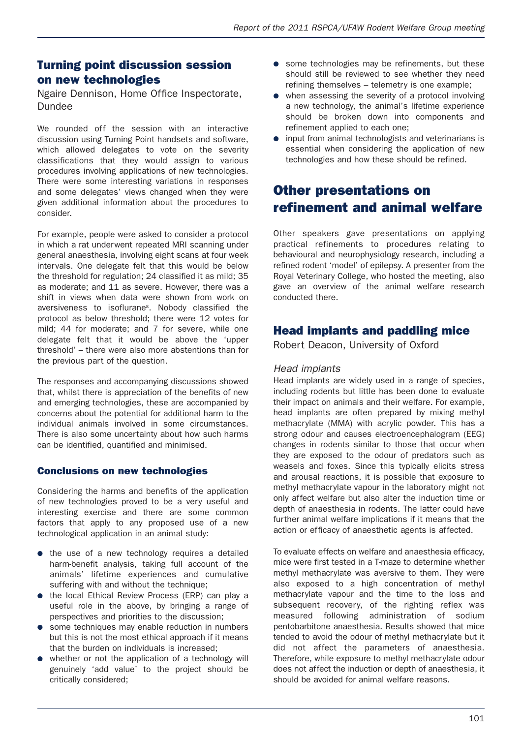# **Turning point discussion session on new technologies**

Ngaire Dennison, Home Office Inspectorate, Dundee

We rounded off the session with an interactive discussion using Turning Point handsets and software, which allowed delegates to vote on the severity classifications that they would assign to various procedures involving applications of new technologies. There were some interesting variations in responses and some delegates' views changed when they were given additional information about the procedures to consider.

For example, people were asked to consider a protocol in which a rat underwent repeated MRI scanning under general anaesthesia, involving eight scans at four week intervals. One delegate felt that this would be below the threshold for regulation; 24 classified it as mild; 35 as moderate; and 11 as severe. However, there was a shift in views when data were shown from work on aversiveness to isoflurane8. Nobody classified the protocol as below threshold; there were 12 votes for mild; 44 for moderate; and 7 for severe, while one delegate felt that it would be above the 'upper threshold' – there were also more abstentions than for the previous part of the question.

The responses and accompanying discussions showed that, whilst there is appreciation of the benefits of new and emerging technologies, these are accompanied by concerns about the potential for additional harm to the individual animals involved in some circumstances. There is also some uncertainty about how such harms can be identified, quantified and minimised.

#### **Conclusions on new technologies**

Considering the harms and benefits of the application of new technologies proved to be a very useful and interesting exercise and there are some common factors that apply to any proposed use of a new technological application in an animal study:

- the use of a new technology requires a detailed harm-benefit analysis, taking full account of the animals' lifetime experiences and cumulative suffering with and without the technique;
- the local Ethical Review Process (ERP) can play a useful role in the above, by bringing a range of perspectives and priorities to the discussion;
- some techniques may enable reduction in numbers but this is not the most ethical approach if it means that the burden on individuals is increased;
- whether or not the application of a technology will genuinely 'add value' to the project should be critically considered;
- some technologies may be refinements, but these should still be reviewed to see whether they need refining themselves – telemetry is one example;
- when assessing the severity of a protocol involving a new technology, the animal's lifetime experience should be broken down into components and refinement applied to each one;
- input from animal technologists and veterinarians is essential when considering the application of new technologies and how these should be refined.

# **Other presentations on refinement and animal welfare**

Other speakers gave presentations on applying practical refinements to procedures relating to behavioural and neurophysiology research, including a refined rodent 'model' of epilepsy. A presenter from the Royal Veterinary College, who hosted the meeting, also gave an overview of the animal welfare research conducted there.

# **Head implants and paddling mice**

Robert Deacon, University of Oxford

#### *Head implants*

Head implants are widely used in a range of species, including rodents but little has been done to evaluate their impact on animals and their welfare. For example, head implants are often prepared by mixing methyl methacrylate (MMA) with acrylic powder. This has a strong odour and causes electroencephalogram (EEG) changes in rodents similar to those that occur when they are exposed to the odour of predators such as weasels and foxes. Since this typically elicits stress and arousal reactions, it is possible that exposure to methyl methacrylate vapour in the laboratory might not only affect welfare but also alter the induction time or depth of anaesthesia in rodents. The latter could have further animal welfare implications if it means that the action or efficacy of anaesthetic agents is affected.

To evaluate effects on welfare and anaesthesia efficacy, mice were first tested in a T-maze to determine whether methyl methacrylate was aversive to them. They were also exposed to a high concentration of methyl methacrylate vapour and the time to the loss and subsequent recovery, of the righting reflex was measured following administration of sodium pentobarbitone anaesthesia. Results showed that mice tended to avoid the odour of methyl methacrylate but it did not affect the parameters of anaesthesia. Therefore, while exposure to methyl methacrylate odour does not affect the induction or depth of anaesthesia, it should be avoided for animal welfare reasons.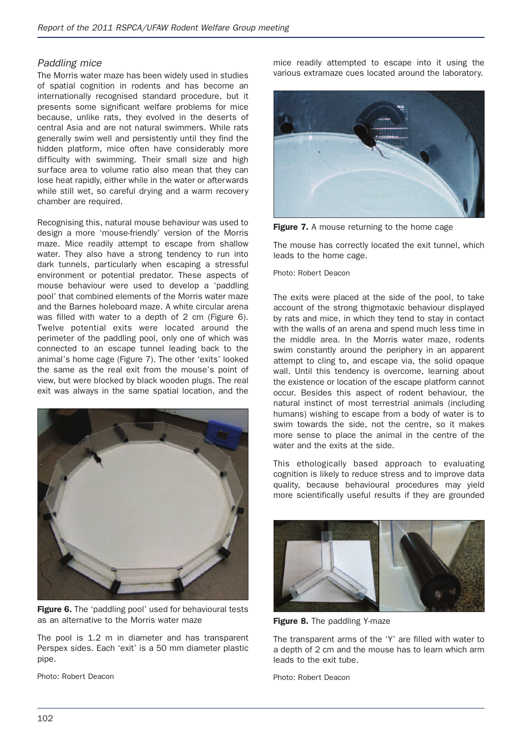#### *Paddling mice*

The Morris water maze has been widely used in studies of spatial cognition in rodents and has become an internationally recognised standard procedure, but it presents some significant welfare problems for mice because, unlike rats, they evolved in the deserts of central Asia and are not natural swimmers. While rats generally swim well and persistently until they find the hidden platform, mice often have considerably more difficulty with swimming. Their small size and high surface area to volume ratio also mean that they can lose heat rapidly, either while in the water or afterwards while still wet, so careful drying and a warm recovery chamber are required.

Recognising this, natural mouse behaviour was used to design a more 'mouse-friendly' version of the Morris maze. Mice readily attempt to escape from shallow water. They also have a strong tendency to run into dark tunnels, particularly when escaping a stressful environment or potential predator. These aspects of mouse behaviour were used to develop a 'paddling pool' that combined elements of the Morris water maze and the Barnes holeboard maze. A white circular arena was filled with water to a depth of 2 cm (Figure 6). Twelve potential exits were located around the perimeter of the paddling pool, only one of which was connected to an escape tunnel leading back to the animal's home cage (Figure 7). The other 'exits' looked the same as the real exit from the mouse's point of view, but were blocked by black wooden plugs. The real exit was always in the same spatial location, and the



**Figure 6.** The 'paddling pool' used for behavioural tests as an alternative to the Morris water maze

The pool is 1.2 m in diameter and has transparent Perspex sides. Each 'exit' is a 50 mm diameter plastic pipe.

Photo: Robert Deacon

mice readily attempted to escape into it using the various extramaze cues located around the laboratory.



**Figure 7.** A mouse returning to the home cage

The mouse has correctly located the exit tunnel, which leads to the home cage.

Photo: Robert Deacon

The exits were placed at the side of the pool, to take account of the strong thigmotaxic behaviour displayed by rats and mice, in which they tend to stay in contact with the walls of an arena and spend much less time in the middle area. In the Morris water maze, rodents swim constantly around the periphery in an apparent attempt to cling to, and escape via, the solid opaque wall. Until this tendency is overcome, learning about the existence or location of the escape platform cannot occur. Besides this aspect of rodent behaviour, the natural instinct of most terrestrial animals (including humans) wishing to escape from a body of water is to swim towards the side, not the centre, so it makes more sense to place the animal in the centre of the water and the exits at the side.

This ethologically based approach to evaluating cognition is likely to reduce stress and to improve data quality, because behavioural procedures may yield more scientifically useful results if they are grounded



**Figure 8.** The paddling Y-maze

The transparent arms of the 'Y' are filled with water to a depth of 2 cm and the mouse has to learn which arm leads to the exit tube.

Photo: Robert Deacon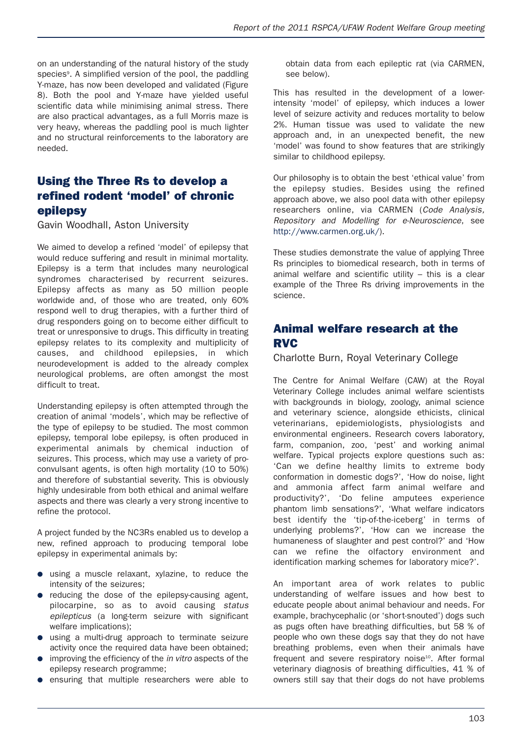on an understanding of the natural history of the study species<sup>9</sup>. A simplified version of the pool, the paddling Y-maze, has now been developed and validated (Figure 8). Both the pool and Y-maze have yielded useful scientific data while minimising animal stress. There are also practical advantages, as a full Morris maze is very heavy, whereas the paddling pool is much lighter and no structural reinforcements to the laboratory are needed.

# **Using the Three Rs to develop a refined rodent 'model' of chronic epilepsy**

Gavin Woodhall, Aston University

We aimed to develop a refined 'model' of epilepsy that would reduce suffering and result in minimal mortality. Epilepsy is a term that includes many neurological syndromes characterised by recurrent seizures. Epilepsy affects as many as 50 million people worldwide and, of those who are treated, only 60% respond well to drug therapies, with a further third of drug responders going on to become either difficult to treat or unresponsive to drugs. This difficulty in treating epilepsy relates to its complexity and multiplicity of causes, and childhood epilepsies, in which neurodevelopment is added to the already complex neurological problems, are often amongst the most difficult to treat.

Understanding epilepsy is often attempted through the creation of animal 'models', which may be reflective of the type of epilepsy to be studied. The most common epilepsy, temporal lobe epilepsy, is often produced in experimental animals by chemical induction of seizures. This process, which may use a variety of proconvulsant agents, is often high mortality (10 to 50%) and therefore of substantial severity. This is obviously highly undesirable from both ethical and animal welfare aspects and there was clearly a very strong incentive to refine the protocol.

A project funded by the NC3Rs enabled us to develop a new, refined approach to producing temporal lobe epilepsy in experimental animals by:

- using a muscle relaxant, xylazine, to reduce the intensity of the seizures;
- reducing the dose of the epilepsy-causing agent, pilocarpine, so as to avoid causing *status epilepticus* (a long-term seizure with significant welfare implications);
- using a multi-drug approach to terminate seizure activity once the required data have been obtained;
- improving the efficiency of the *in vitro* aspects of the epilepsy research programme;
- ensuring that multiple researchers were able to

obtain data from each epileptic rat (via CARMEN, see below).

This has resulted in the development of a lowerintensity 'model' of epilepsy, which induces a lower level of seizure activity and reduces mortality to below 2%. Human tissue was used to validate the new approach and, in an unexpected benefit, the new 'model' was found to show features that are strikingly similar to childhood epilepsy.

Our philosophy is to obtain the best 'ethical value' from the epilepsy studies. Besides using the refined approach above, we also pool data with other epilepsy researchers online, via CARMEN (*Code Analysis, Repository and Modelling for e-Neuroscience*, see http://www.carmen.org.uk/).

These studies demonstrate the value of applying Three Rs principles to biomedical research, both in terms of animal welfare and scientific utility – this is a clear example of the Three Rs driving improvements in the science.

# **Animal welfare research at the RVC**

Charlotte Burn, Royal Veterinary College

The Centre for Animal Welfare (CAW) at the Royal Veterinary College includes animal welfare scientists with backgrounds in biology, zoology, animal science and veterinary science, alongside ethicists, clinical veterinarians, epidemiologists, physiologists and environmental engineers. Research covers laboratory, farm, companion, zoo, 'pest' and working animal welfare. Typical projects explore questions such as: 'Can we define healthy limits to extreme body conformation in domestic dogs?', 'How do noise, light and ammonia affect farm animal welfare and productivity?', 'Do feline amputees experience phantom limb sensations?', 'What welfare indicators best identify the 'tip-of-the-iceberg' in terms of underlying problems?', 'How can we increase the humaneness of slaughter and pest control?' and 'How can we refine the olfactory environment and identification marking schemes for laboratory mice?'.

An important area of work relates to public understanding of welfare issues and how best to educate people about animal behaviour and needs. For example, brachycephalic (or 'short-snouted') dogs such as pugs often have breathing difficulties, but 58 % of people who own these dogs say that they do not have breathing problems, even when their animals have frequent and severe respiratory noise<sup>10</sup>. After formal veterinary diagnosis of breathing difficulties, 41 % of owners still say that their dogs do not have problems